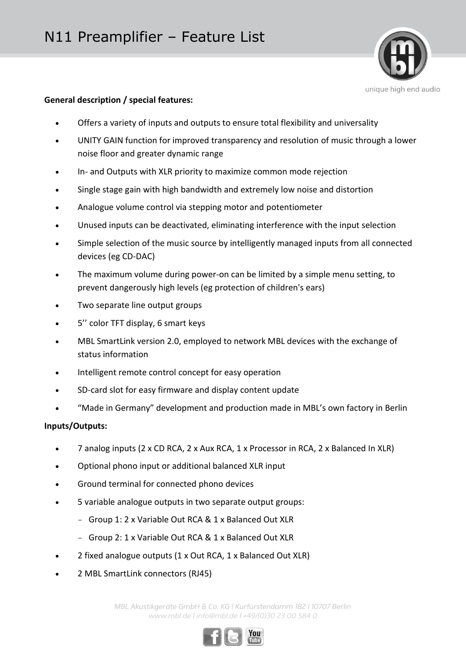

## **General description / special features:**

- Offers a variety of inputs and outputs to ensure total flexibility and universality
- UNITY GAIN function for improved transparency and resolution of music through a lower noise floor and greater dynamic range
- In- and Outputs with XLR priority to maximize common mode rejection
- Single stage gain with high bandwidth and extremely low noise and distortion
- Analogue volume control via stepping motor and potentiometer
- Unused inputs can be deactivated, eliminating interference with the input selection
- Simple selection of the music source by intelligently managed inputs from all connected devices (eg CD-DAC)
- The maximum volume during power-on can be limited by a simple menu setting, to prevent dangerously high levels (eg protection of children's ears)
- Two separate line output groups
- 5'' color TFT display, 6 smart keys
- MBL SmartLink version 2.0, employed to network MBL devices with the exchange of status information
- Intelligent remote control concept for easy operation
- SD-card slot for easy firmware and display content update
- "Made in Germany" development and production made in MBL's own factory in Berlin

## **Inputs/Outputs:**

- 7 analog inputs (2 x CD RCA, 2 x Aux RCA, 1 x Processor in RCA, 2 x Balanced In XLR)
- Optional phono input or additional balanced XLR input
- Ground terminal for connected phono devices
- 5 variable analogue outputs in two separate output groups:
	- Group 1: 2 x Variable Out RCA & 1 x Balanced Out XLR
	- Group 2: 1 x Variable Out RCA & 1 x Balanced Out XLR
- 2 fixed analogue outputs (1 x Out RCA, 1 x Balanced Out XLR)
- 2 MBL SmartLink connectors (RJ45)

*MBL Akustikgeräte GmbH & Co. KG | Kurfürstendamm 182 | 10707 Berlin www.mbl.de | info@mbl.de | +49/(0)30 23 00 584 0*